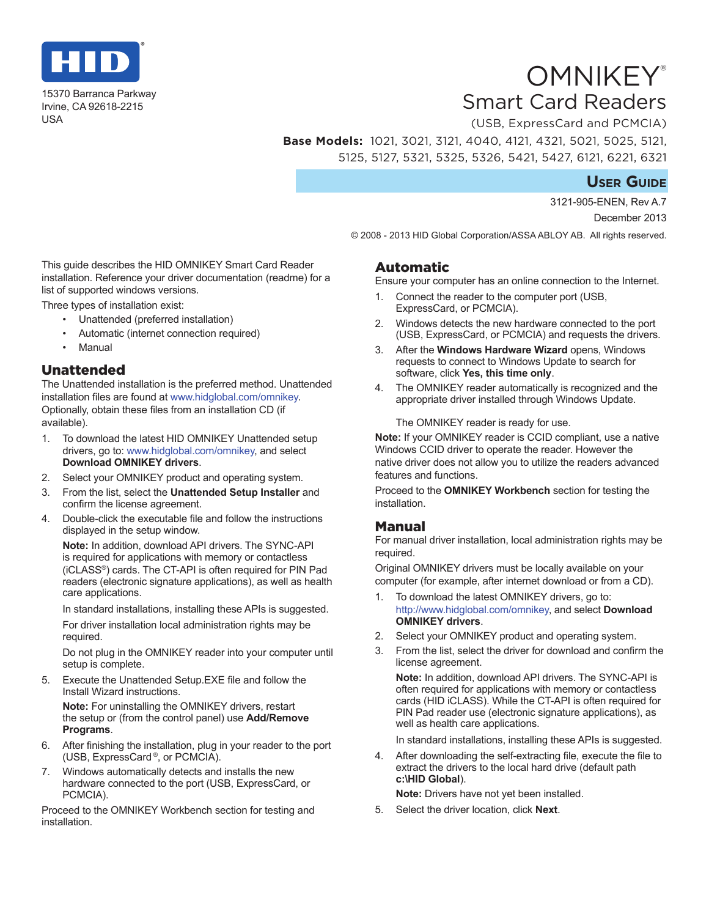

15370 Barranca Parkway Irvine, CA 92618-2215 USA

# **OMNIKEY®** Smart Card Readers

(USB, ExpressCard and PCMCIA) **Base Models:** 1021, 3021, 3121, 4040, 4121, 4321, 5021, 5025, 5121, 5125, 5127, 5321, 5325, 5326, 5421, 5427, 6121, 6221, 6321

# **User Guide**

3121-905-ENEN, Rev A.7 December 2013

© 2008 - 2013 HID Global Corporation/ASSA ABLOY AB. All rights reserved.

This guide describes the HID OMNIKEY Smart Card Reader installation. Reference your driver documentation (readme) for a list of supported windows versions.

Three types of installation exist:

- Unattended (preferred installation)
- Automatic (internet connection required)
- Manual

#### Unattended

The Unattended installation is the preferred method. Unattended installation files are found at <www.hidglobal.com/omnikey>. Optionally, obtain these files from an installation CD (if available).

- 1. To download the latest HID OMNIKEY Unattended setup drivers, go to: [www.hidglobal.com/omnikey,](www.hidglobal.com/omnikey) and select **Download OMNIKEY drivers**.
- 2. Select your OMNIKEY product and operating system.
- 3. From the list, select the **Unattended Setup Installer** and confirm the license agreement.
- 4. Double-click the executable file and follow the instructions displayed in the setup window.

**Note:** In addition, download API drivers. The SYNC-API is required for applications with memory or contactless (iCLASS®) cards. The CT-API is often required for PIN Pad readers (electronic signature applications), as well as health care applications.

In standard installations, installing these APIs is suggested.

For driver installation local administration rights may be required.

Do not plug in the OMNIKEY reader into your computer until setup is complete.

5. Execute the Unattended Setup.EXE file and follow the Install Wizard instructions.

**Note:** For uninstalling the OMNIKEY drivers, restart the setup or (from the control panel) use **Add/Remove Programs**.

- 6. After finishing the installation, plug in your reader to the port (USB, ExpressCard ®, or PCMCIA).
- 7. Windows automatically detects and installs the new hardware connected to the port (USB, ExpressCard, or PCMCIA).

Proceed to the OMNIKEY Workbench section for testing and installation.

### Automatic

Ensure your computer has an online connection to the Internet.

- 1. Connect the reader to the computer port (USB, ExpressCard, or PCMCIA).
- 2. Windows detects the new hardware connected to the port (USB, ExpressCard, or PCMCIA) and requests the drivers.
- 3. After the **Windows Hardware Wizard** opens, Windows requests to connect to Windows Update to search for software, click **Yes, this time only**.
- 4. The OMNIKEY reader automatically is recognized and the appropriate driver installed through Windows Update.

The OMNIKEY reader is ready for use.

**Note:** If your OMNIKEY reader is CCID compliant, use a native Windows CCID driver to operate the reader. However the native driver does not allow you to utilize the readers advanced features and functions.

Proceed to the **OMNIKEY Workbench** section for testing the installation.

## Manual

For manual driver installation, local administration rights may be required.

Original OMNIKEY drivers must be locally available on your computer (for example, after internet download or from a CD).

- 1. To download the latest OMNIKEY drivers, go to: [http://www.hidglobal.com](www.hidglobal.com/omnikey)/omnikey, and select **Download OMNIKEY drivers**.
- 2. Select your OMNIKEY product and operating system.
- 3. From the list, select the driver for download and confirm the license agreement.

**Note:** In addition, download API drivers. The SYNC-API is often required for applications with memory or contactless cards (HID iCLASS). While the CT-API is often required for PIN Pad reader use (electronic signature applications), as well as health care applications.

In standard installations, installing these APIs is suggested.

4. After downloading the self-extracting file, execute the file to extract the drivers to the local hard drive (default path **c:\HID Global**).

**Note:** Drivers have not yet been installed.

5. Select the driver location, click **Next**.